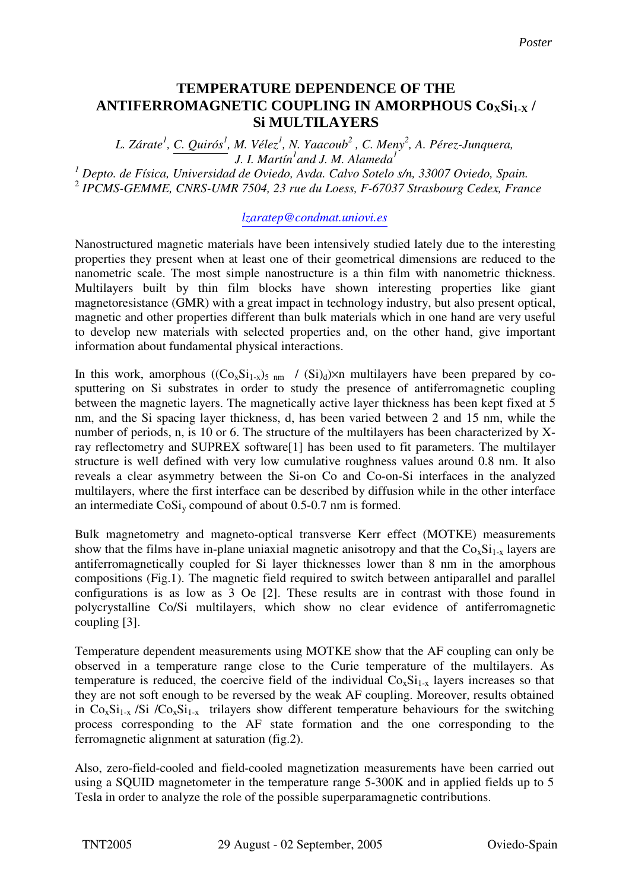## **ANTIFERROMAGNETIC COUPLING IN AMORPHOUS**  $\text{Co}_{\text{X}}\text{Si}_{1\text{-X}}$  **/ CoxSi1-x / Si Multilayers. Si MULTILAYERS TEMPERATURE DEPENDENCE OF THE**

*L. Zárate<sup>1</sup> , C. Quirós<sup>1</sup> , M. Vélez<sup>1</sup> , N. Yaacoub<sup>2</sup> , C. Meny<sup>2</sup> , A. Pérez-Junquera, J. I. Martín<sup>1</sup> and J. M. Alameda<sup>1</sup> 1 Depto. de Física, Universidad de Oviedo, Avda. Calvo Sotelo s/n, 33007 Oviedo, Spain.* 2 *IPCMS-GEMME, CNRS-UMR 7504, 23 rue du Loess, F-67037 Strasbourg Cedex, France*

## *lzaratep@condmat.uniovi.es*

Nanostructured magnetic materials have been intensively studied lately due to the interesting properties they present when at least one of their geometrical dimensions are reduced to the nanometric scale. The most simple nanostructure is a thin film with nanometric thickness. Multilayers built by thin film blocks have shown interesting properties like giant magnetoresistance (GMR) with a great impact in technology industry, but also present optical, magnetic and other properties different than bulk materials which in one hand are very useful to develop new materials with selected properties and, on the other hand, give important information about fundamental physical interactions.

In this work, amorphous  $((Co_xSi_{1-x})_{5 \text{ nm}} / (Si_d)\times m$  multilayers have been prepared by cosputtering on Si substrates in order to study the presence of antiferromagnetic coupling between the magnetic layers. The magnetically active layer thickness has been kept fixed at 5 nm, and the Si spacing layer thickness, d, has been varied between 2 and 15 nm, while the number of periods, n, is 10 or 6. The structure of the multilayers has been characterized by Xray reflectometry and SUPREX software[1] has been used to fit parameters. The multilayer structure is well defined with very low cumulative roughness values around 0.8 nm. It also reveals a clear asymmetry between the Si-on Co and Co-on-Si interfaces in the analyzed multilayers, where the first interface can be described by diffusion while in the other interface an intermediate  $\cos i_v$  compound of about 0.5-0.7 nm is formed.

Bulk magnetometry and magneto-optical transverse Kerr effect (MOTKE) measurements show that the films have in-plane uniaxial magnetic anisotropy and that the  $Co_xSi_{1-x}$  layers are antiferromagnetically coupled for Si layer thicknesses lower than 8 nm in the amorphous compositions (Fig.1). The magnetic field required to switch between antiparallel and parallel configurations is as low as 3 Oe [2]. These results are in contrast with those found in polycrystalline Co/Si multilayers, which show no clear evidence of antiferromagnetic coupling [3].

Temperature dependent measurements using MOTKE show that the AF coupling can only be observed in a temperature range close to the Curie temperature of the multilayers. As temperature is reduced, the coercive field of the individual  $Co_xSi_{1-x}$  layers increases so that they are not soft enough to be reversed by the weak AF coupling. Moreover, results obtained in  $Co_xSi_{1-x}$  /Si / $Co_xSi_{1-x}$  trilayers show different temperature behaviours for the switching process corresponding to the AF state formation and the one corresponding to the ferromagnetic alignment at saturation (fig.2).

Also, zero-field-cooled and field-cooled magnetization measurements have been carried out using a SQUID magnetometer in the temperature range 5-300K and in applied fields up to 5 Tesla in order to analyze the role of the possible superparamagnetic contributions.